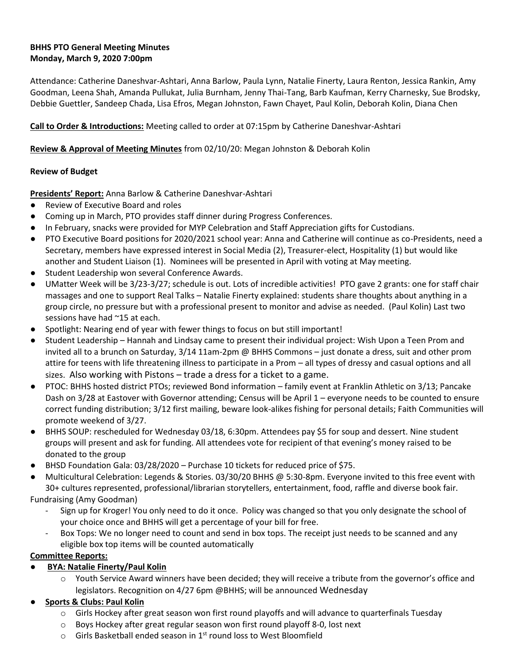# **BHHS PTO General Meeting Minutes Monday, March 9, 2020 7:00pm**

Attendance: Catherine Daneshvar-Ashtari, Anna Barlow, Paula Lynn, Natalie Finerty, Laura Renton, Jessica Rankin, Amy Goodman, Leena Shah, Amanda Pullukat, Julia Burnham, Jenny Thai-Tang, Barb Kaufman, Kerry Charnesky, Sue Brodsky, Debbie Guettler, Sandeep Chada, Lisa Efros, Megan Johnston, Fawn Chayet, Paul Kolin, Deborah Kolin, Diana Chen

# **Call to Order & Introductions:** Meeting called to order at 07:15pm by Catherine Daneshvar-Ashtari

### **Review & Approval of Meeting Minutes** from 02/10/20: Megan Johnston & Deborah Kolin

### **Review of Budget**

**Presidents' Report:** Anna Barlow & Catherine Daneshvar-Ashtari

- Review of Executive Board and roles
- Coming up in March, PTO provides staff dinner during Progress Conferences.
- In February, snacks were provided for MYP Celebration and Staff Appreciation gifts for Custodians.
- PTO Executive Board positions for 2020/2021 school year: Anna and Catherine will continue as co-Presidents, need a Secretary, members have expressed interest in Social Media (2), Treasurer-elect, Hospitality (1) but would like another and Student Liaison (1). Nominees will be presented in April with voting at May meeting.
- Student Leadership won several Conference Awards.
- UMatter Week will be 3/23-3/27; schedule is out. Lots of incredible activities! PTO gave 2 grants: one for staff chair massages and one to support Real Talks – Natalie Finerty explained: students share thoughts about anything in a group circle, no pressure but with a professional present to monitor and advise as needed. (Paul Kolin) Last two sessions have had ~15 at each.
- Spotlight: Nearing end of year with fewer things to focus on but still important!
- Student Leadership Hannah and Lindsay came to present their individual project: Wish Upon a Teen Prom and invited all to a brunch on Saturday, 3/14 11am-2pm @ BHHS Commons – just donate a dress, suit and other prom attire for teens with life threatening illness to participate in a Prom – all types of dressy and casual options and all sizes. Also working with Pistons – trade a dress for a ticket to a game.
- PTOC: BHHS hosted district PTOs; reviewed Bond information family event at Franklin Athletic on 3/13; Pancake Dash on 3/28 at Eastover with Governor attending; Census will be April 1 – everyone needs to be counted to ensure correct funding distribution; 3/12 first mailing, beware look-alikes fishing for personal details; Faith Communities will promote weekend of 3/27.
- BHHS SOUP: rescheduled for Wednesday 03/18, 6:30pm. Attendees pay \$5 for soup and dessert. Nine student groups will present and ask for funding. All attendees vote for recipient of that evening's money raised to be donated to the group
- BHSD Foundation Gala: 03/28/2020 Purchase 10 tickets for reduced price of \$75.
- Multicultural Celebration: Legends & Stories. 03/30/20 BHHS @ 5:30-8pm. Everyone invited to this free event with 30+ cultures represented, professional/librarian storytellers, entertainment, food, raffle and diverse book fair.

Fundraising (Amy Goodman)

- Sign up for Kroger! You only need to do it once. Policy was changed so that you only designate the school of your choice once and BHHS will get a percentage of your bill for free.
- Box Tops: We no longer need to count and send in box tops. The receipt just needs to be scanned and any eligible box top items will be counted automatically

**Committee Reports:** 

- **BYA: Natalie Finerty/Paul Kolin**
	- $\circ$  Youth Service Award winners have been decided; they will receive a tribute from the governor's office and legislators. Recognition on 4/27 6pm @BHHS; will be announced Wednesday
- **Sports & Clubs: Paul Kolin** 
	- $\circ$  Girls Hockey after great season won first round playoffs and will advance to quarterfinals Tuesday
	- $\circ$  Boys Hockey after great regular season won first round playoff 8-0, lost next
	- $\circ$  Girls Basketball ended season in 1<sup>st</sup> round loss to West Bloomfield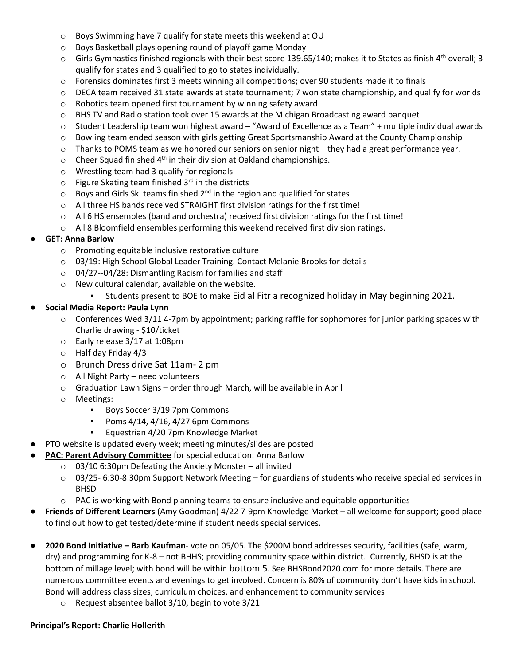- o Boys Swimming have 7 qualify for state meets this weekend at OU
- o Boys Basketball plays opening round of playoff game Monday
- $\circ$  Girls Gymnastics finished regionals with their best score 139.65/140; makes it to States as finish 4<sup>th</sup> overall; 3 qualify for states and 3 qualified to go to states individually.
- $\circ$  Forensics dominates first 3 meets winning all competitions; over 90 students made it to finals
- $\circ$  DECA team received 31 state awards at state tournament; 7 won state championship, and qualify for worlds
- o Robotics team opened first tournament by winning safety award
- o BHS TV and Radio station took over 15 awards at the Michigan Broadcasting award banquet
- o Student Leadership team won highest award "Award of Excellence as a Team" + multiple individual awards
- o Bowling team ended season with girls getting Great Sportsmanship Award at the County Championship
- $\circ$  Thanks to POMS team as we honored our seniors on senior night they had a great performance year.
- $\circ$  Cheer Squad finished 4<sup>th</sup> in their division at Oakland championships.
- o Wrestling team had 3 qualify for regionals
- $\circ$  Figure Skating team finished 3<sup>rd</sup> in the districts
- $\circ$  Boys and Girls Ski teams finished 2<sup>nd</sup> in the region and qualified for states
- o All three HS bands received STRAIGHT first division ratings for the first time!
- $\circ$  All 6 HS ensembles (band and orchestra) received first division ratings for the first time!
- $\circ$  All 8 Bloomfield ensembles performing this weekend received first division ratings.

# ● **GET: Anna Barlow**

- o Promoting equitable inclusive restorative culture
- $\circ$  03/19: High School Global Leader Training. Contact Melanie Brooks for details
- o 04/27--04/28: Dismantling Racism for families and staff
- o New cultural calendar, available on the website.
	- Students present to BOE to make Eid al Fitr a recognized holiday in May beginning 2021.

# ● **Social Media Report: Paula Lynn**

- $\circ$  Conferences Wed 3/11 4-7pm by appointment; parking raffle for sophomores for junior parking spaces with Charlie drawing - \$10/ticket
- o Early release 3/17 at 1:08pm
- o Half day Friday 4/3
- o Brunch Dress drive Sat 11am- 2 pm
- o All Night Party need volunteers
- o Graduation Lawn Signs order through March, will be available in April
- o Meetings:
	- Boys Soccer 3/19 7pm Commons
	- **•** Poms 4/14, 4/16, 4/27 6pm Commons
	- Equestrian 4/20 7pm Knowledge Market
- PTO website is updated every week; meeting minutes/slides are posted
- **PAC: Parent Advisory Committee** for special education: Anna Barlow
	- $\circ$  03/10 6:30pm Defeating the Anxiety Monster all invited
	- o 03/25- 6:30-8:30pm Support Network Meeting for guardians of students who receive special ed services in BHSD
	- $\circ$  PAC is working with Bond planning teams to ensure inclusive and equitable opportunities
- **Friends of Different Learners** (Amy Goodman) 4/22 7-9pm Knowledge Market all welcome for support; good place to find out how to get tested/determine if student needs special services.
- **2020 Bond Initiative – Barb Kaufman** vote on 05/05. The \$200M bond addresses security, facilities (safe, warm, dry) and programming for K-8 – not BHHS; providing community space within district. Currently, BHSD is at the bottom of millage level; with bond will be within bottom 5. See BHSBond2020.com for more details. There are numerous committee events and evenings to get involved. Concern is 80% of community don't have kids in school. Bond will address class sizes, curriculum choices, and enhancement to community services
	- o Request absentee ballot 3/10, begin to vote 3/21

#### **Principal's Report: Charlie Hollerith**